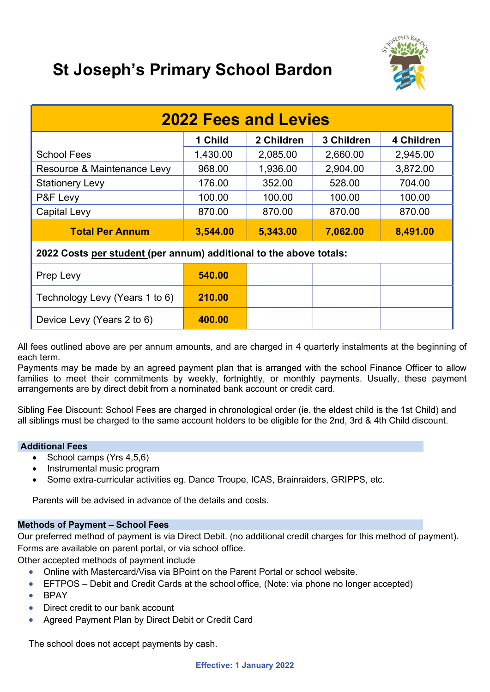

# St Joseph's Primary School Bardon

| <b>2022 Fees and Levies</b>                                        |          |            |            |            |
|--------------------------------------------------------------------|----------|------------|------------|------------|
|                                                                    | 1 Child  | 2 Children | 3 Children | 4 Children |
| <b>School Fees</b>                                                 | 1,430.00 | 2,085.00   | 2,660.00   | 2,945.00   |
| Resource & Maintenance Levy                                        | 968.00   | 1,936.00   | 2,904.00   | 3,872.00   |
| <b>Stationery Levy</b>                                             | 176.00   | 352.00     | 528.00     | 704.00     |
| P&F Levy                                                           | 100.00   | 100.00     | 100.00     | 100.00     |
| <b>Capital Levy</b>                                                | 870.00   | 870.00     | 870.00     | 870.00     |
| <b>Total Per Annum</b>                                             | 3,544.00 | 5,343.00   | 7,062.00   | 8,491.00   |
| 2022 Costs per student (per annum) additional to the above totals: |          |            |            |            |
| Prep Levy                                                          | 540.00   |            |            |            |
| Technology Levy (Years 1 to 6)                                     | 210.00   |            |            |            |
| Device Levy (Years 2 to 6)                                         | 400.00   |            |            |            |

All fees outlined above are per annum amounts, and are charged in 4 quarterly instalments at the beginning of each term.

Payments may be made by an agreed payment plan that is arranged with the school Finance Officer to allow families to meet their commitments by weekly, fortnightly, or monthly payments. Usually, these payment arrangements are by direct debit from a nominated bank account or credit card.

Sibling Fee Discount: School Fees are charged in chronological order (ie. the eldest child is the 1st Child) and all siblings must be charged to the same account holders to be eligible for the 2nd, 3rd & 4th Child discount.

## Additional Fees

- $\bullet$  School camps (Yrs 4,5,6)
- Instrumental music program
- Some extra-curricular activities eg. Dance Troupe, ICAS, Brainraiders, GRIPPS, etc.

Parents will be advised in advance of the details and costs.

# Methods of Payment – School Fees

Our preferred method of payment is via Direct Debit. (no additional credit charges for this method of payment). Forms are available on parent portal, or via school office.

Other accepted methods of payment include

- Online with Mastercard/Visa via BPoint on the Parent Portal or school website.
- EFTPOS Debit and Credit Cards at the school office, (Note: via phone no longer accepted)
- $\bullet$  BPAY
- Direct credit to our bank account
- Agreed Payment Plan by Direct Debit or Credit Card

The school does not accept payments by cash.